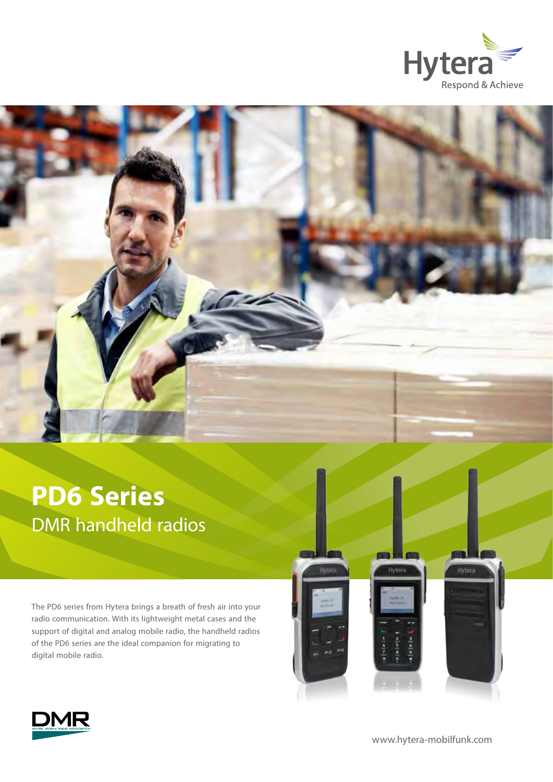



# **PD6 Series**  DMR handheld radios

The PD6 series from Hytera brings a breath of fresh air into your radio communication. With its lightweight metal cases and the support of digital and analog mobile radio, the handheld radios of the PD6 series are the ideal companion for migrating to digital mobile radio.





[www.hytera-mobilfunk.com](http://www.hytera-mobilfunk.com)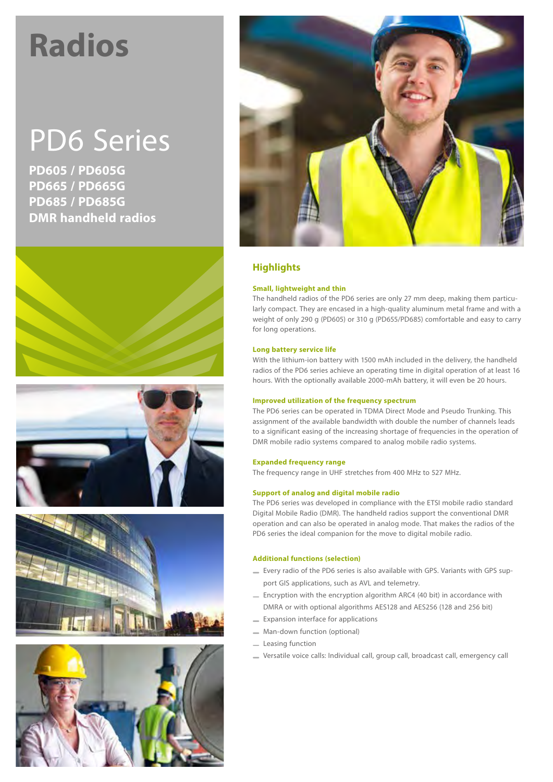# **Radios**

# PD6 Series

**PD605 / PD605G PD665 / PD665G PD685 / PD685G DMR handheld radios**











## **Highlights**

#### **Small, lightweight and thin**

The handheld radios of the PD6 series are only 27 mm deep, making them particularly compact. They are encased in a high-quality aluminum metal frame and with a weight of only 290 g (PD605) or 310 g (PD655/PD685) comfortable and easy to carry for long operations.

#### **Long battery service life**

With the lithium-ion battery with 1500 mAh included in the delivery, the handheld radios of the PD6 series achieve an operating time in digital operation of at least 16 hours. With the optionally available 2000-mAh battery, it will even be 20 hours.

#### **Improved utilization of the frequency spectrum**

The PD6 series can be operated in TDMA Direct Mode and Pseudo Trunking. This assignment of the available bandwidth with double the number of channels leads to a significant easing of the increasing shortage of frequencies in the operation of DMR mobile radio systems compared to analog mobile radio systems.

#### **Expanded frequency range**

The frequency range in UHF stretches from 400 MHz to 527 MHz.

#### **Support of analog and digital mobile radio**

The PD6 series was developed in compliance with the ETSI mobile radio standard Digital Mobile Radio (DMR). The handheld radios support the conventional DMR operation and can also be operated in analog mode. That makes the radios of the PD6 series the ideal companion for the move to digital mobile radio.

#### **Additional functions (selection)**

- Every radio of the PD6 series is also available with GPS. Variants with GPS support GIS applications, such as AVL and telemetry.
- Encryption with the encryption algorithm ARC4 (40 bit) in accordance with DMRA or with optional algorithms AES128 and AES256 (128 and 256 bit)
- **Expansion interface for applications**
- Man-down function (optional)
- Leasing function
- Versatile voice calls: Individual call, group call, broadcast call, emergency call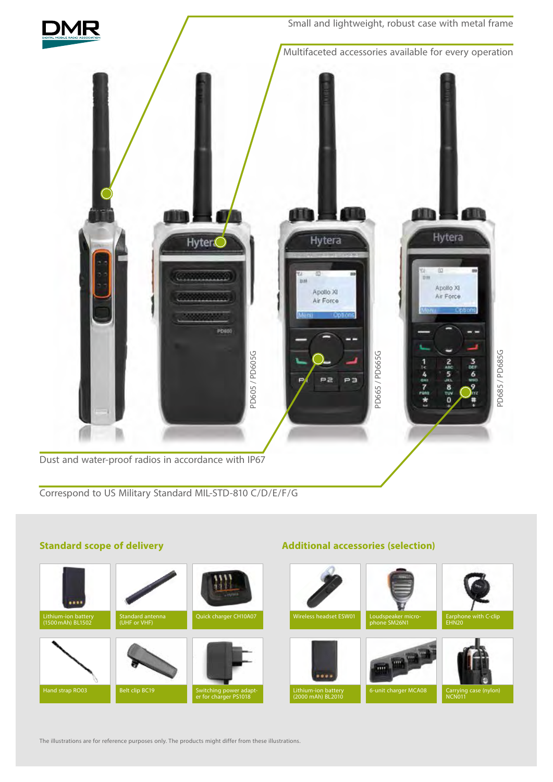

### **Standard scope of delivery**

# Lithium-ion battery (1500mAh) BL1502 Standard antenna (UHF or VHF) Hand strap RO03 Belt clip BC19 Switching power adapt-<br>
er for charger PS1018 Earphone with C-clip EHN20 phone SM26N1 eadset ESW01 Carrying case (nylon) NCN011 6-unit charger MCA08 Lithium-ion battery<br>(2000 mAh) BL2010

**Additional accessories (selection)**